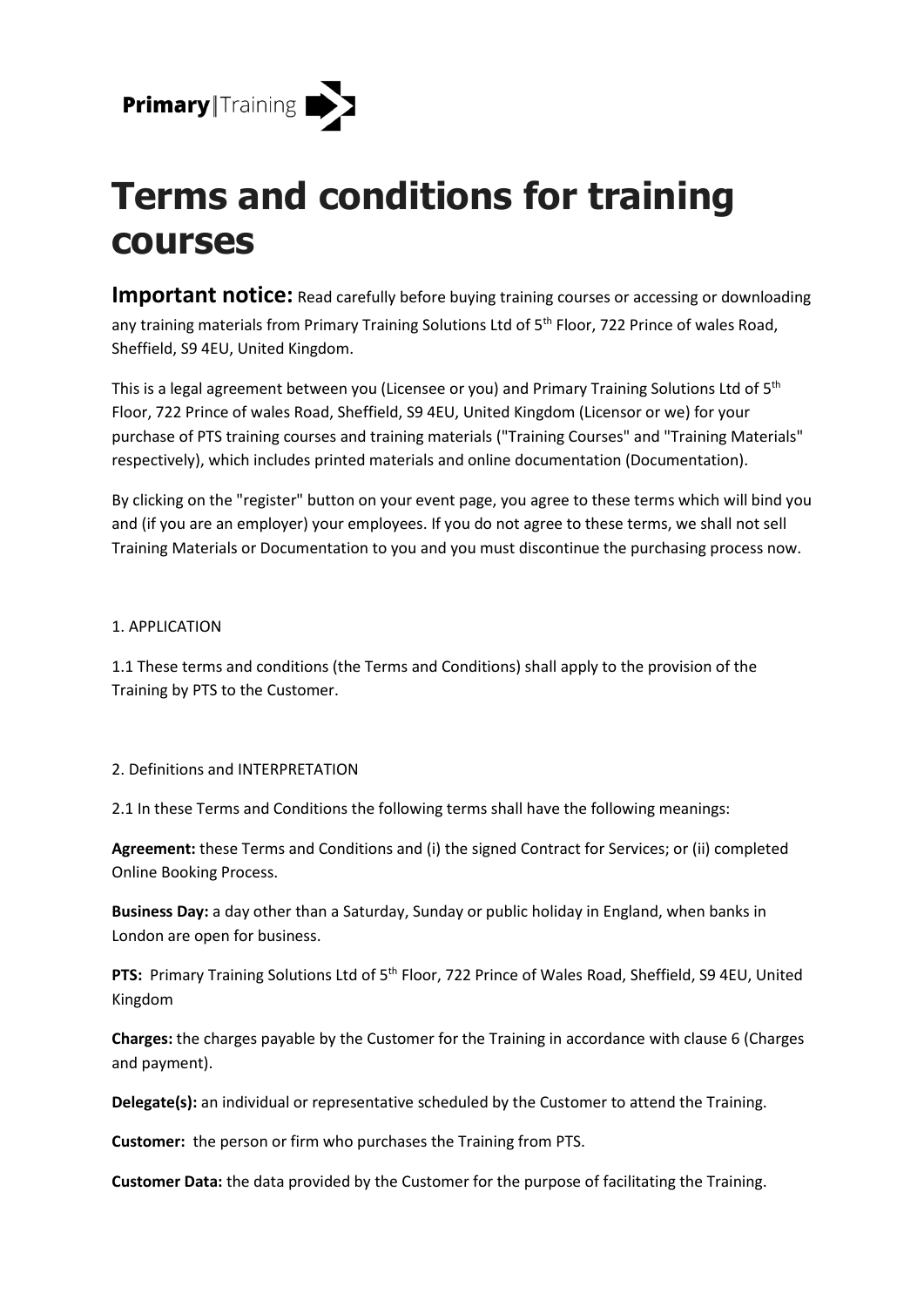

# **Terms and conditions for training courses**

**Important notice:** Read carefully before buying training courses or accessing or downloading any training materials from Primary Training Solutions Ltd of 5<sup>th</sup> Floor, 722 Prince of wales Road, Sheffield, S9 4EU, United Kingdom.

This is a legal agreement between you (Licensee or you) and Primary Training Solutions Ltd of 5<sup>th</sup> Floor, 722 Prince of wales Road, Sheffield, S9 4EU, United Kingdom (Licensor or we) for your purchase of PTS training courses and training materials ("Training Courses" and "Training Materials" respectively), which includes printed materials and online documentation (Documentation).

By clicking on the "register" button on your event page, you agree to these terms which will bind you and (if you are an employer) your employees. If you do not agree to these terms, we shall not sell Training Materials or Documentation to you and you must discontinue the purchasing process now.

## 1. APPLICATION

1.1 These terms and conditions (the Terms and Conditions) shall apply to the provision of the Training by PTS to the Customer.

## 2. Definitions and INTERPRETATION

2.1 In these Terms and Conditions the following terms shall have the following meanings:

**Agreement:** these Terms and Conditions and (i) the signed Contract for Services; or (ii) completed Online Booking Process.

**Business Day:** a day other than a Saturday, Sunday or public holiday in England, when banks in London are open for business.

**PTS:** Primary Training Solutions Ltd of 5<sup>th</sup> Floor, 722 Prince of Wales Road, Sheffield, S9 4EU, United Kingdom

**Charges:** the charges payable by the Customer for the Training in accordance with clause 6 (Charges and payment).

**Delegate(s):** an individual or representative scheduled by the Customer to attend the Training.

**Customer:** the person or firm who purchases the Training from PTS.

**Customer Data:** the data provided by the Customer for the purpose of facilitating the Training.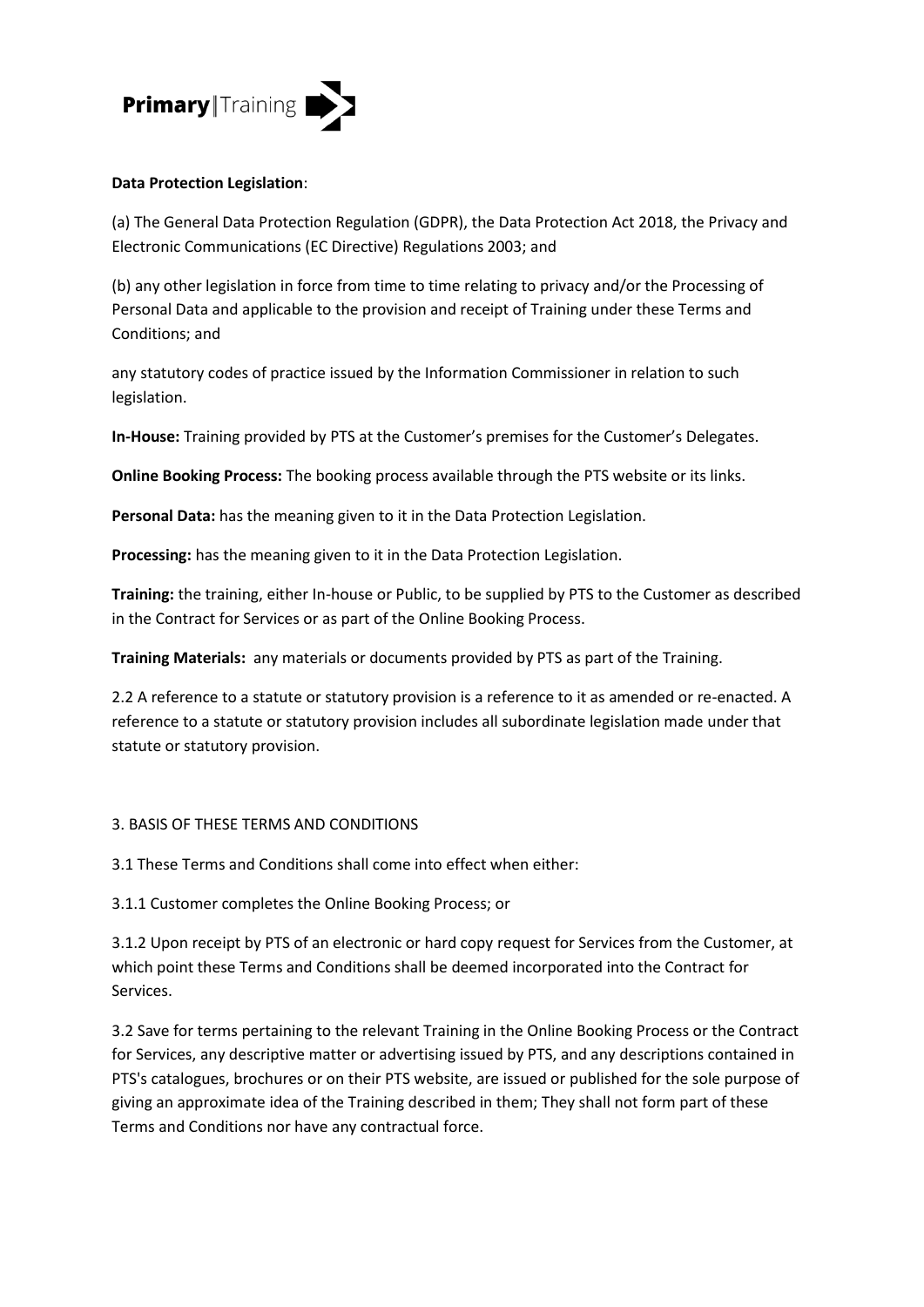

## **Data Protection Legislation**:

(a) The General Data Protection Regulation (GDPR), the Data Protection Act 2018, the Privacy and Electronic Communications (EC Directive) Regulations 2003; and

(b) any other legislation in force from time to time relating to privacy and/or the Processing of Personal Data and applicable to the provision and receipt of Training under these Terms and Conditions; and

any statutory codes of practice issued by the Information Commissioner in relation to such legislation.

**In-House:** Training provided by PTS at the Customer's premises for the Customer's Delegates.

**Online Booking Process:** The booking process available through the PTS website or its links.

**Personal Data:** has the meaning given to it in the Data Protection Legislation.

**Processing:** has the meaning given to it in the Data Protection Legislation.

**Training:** the training, either In-house or Public, to be supplied by PTS to the Customer as described in the Contract for Services or as part of the Online Booking Process.

**Training Materials:** any materials or documents provided by PTS as part of the Training.

2.2 A reference to a statute or statutory provision is a reference to it as amended or re-enacted. A reference to a statute or statutory provision includes all subordinate legislation made under that statute or statutory provision.

## 3. BASIS OF THESE TERMS AND CONDITIONS

3.1 These Terms and Conditions shall come into effect when either:

3.1.1 Customer completes the Online Booking Process; or

3.1.2 Upon receipt by PTS of an electronic or hard copy request for Services from the Customer, at which point these Terms and Conditions shall be deemed incorporated into the Contract for Services.

3.2 Save for terms pertaining to the relevant Training in the Online Booking Process or the Contract for Services, any descriptive matter or advertising issued by PTS, and any descriptions contained in PTS's catalogues, brochures or on their PTS website, are issued or published for the sole purpose of giving an approximate idea of the Training described in them; They shall not form part of these Terms and Conditions nor have any contractual force.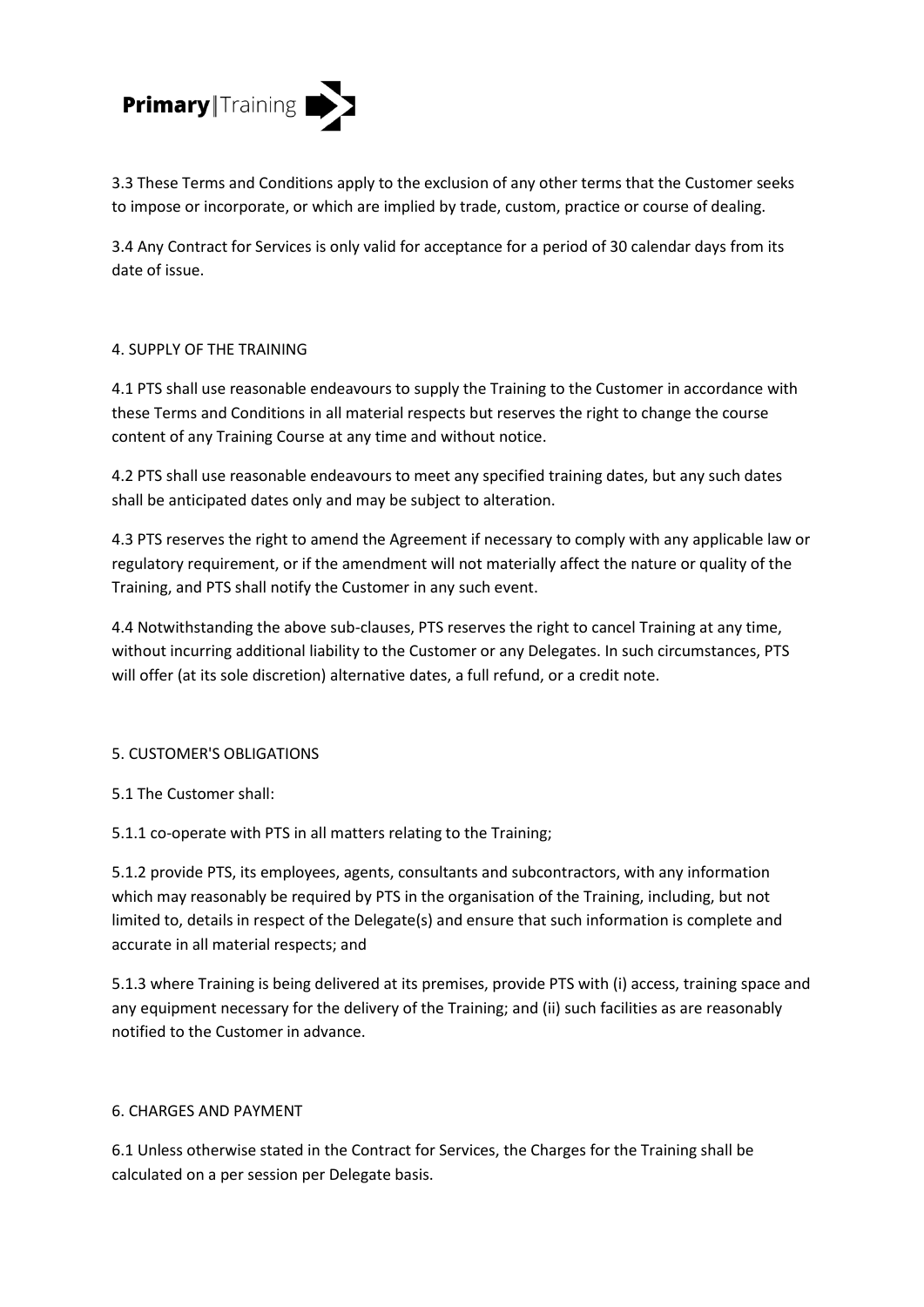

3.3 These Terms and Conditions apply to the exclusion of any other terms that the Customer seeks to impose or incorporate, or which are implied by trade, custom, practice or course of dealing.

3.4 Any Contract for Services is only valid for acceptance for a period of 30 calendar days from its date of issue.

## 4. SUPPLY OF THE TRAINING

4.1 PTS shall use reasonable endeavours to supply the Training to the Customer in accordance with these Terms and Conditions in all material respects but reserves the right to change the course content of any Training Course at any time and without notice.

4.2 PTS shall use reasonable endeavours to meet any specified training dates, but any such dates shall be anticipated dates only and may be subject to alteration.

4.3 PTS reserves the right to amend the Agreement if necessary to comply with any applicable law or regulatory requirement, or if the amendment will not materially affect the nature or quality of the Training, and PTS shall notify the Customer in any such event.

4.4 Notwithstanding the above sub-clauses, PTS reserves the right to cancel Training at any time, without incurring additional liability to the Customer or any Delegates. In such circumstances, PTS will offer (at its sole discretion) alternative dates, a full refund, or a credit note.

## 5. CUSTOMER'S OBLIGATIONS

5.1 The Customer shall:

5.1.1 co-operate with PTS in all matters relating to the Training;

5.1.2 provide PTS, its employees, agents, consultants and subcontractors, with any information which may reasonably be required by PTS in the organisation of the Training, including, but not limited to, details in respect of the Delegate(s) and ensure that such information is complete and accurate in all material respects; and

5.1.3 where Training is being delivered at its premises, provide PTS with (i) access, training space and any equipment necessary for the delivery of the Training; and (ii) such facilities as are reasonably notified to the Customer in advance.

## 6. CHARGES AND PAYMENT

6.1 Unless otherwise stated in the Contract for Services, the Charges for the Training shall be calculated on a per session per Delegate basis.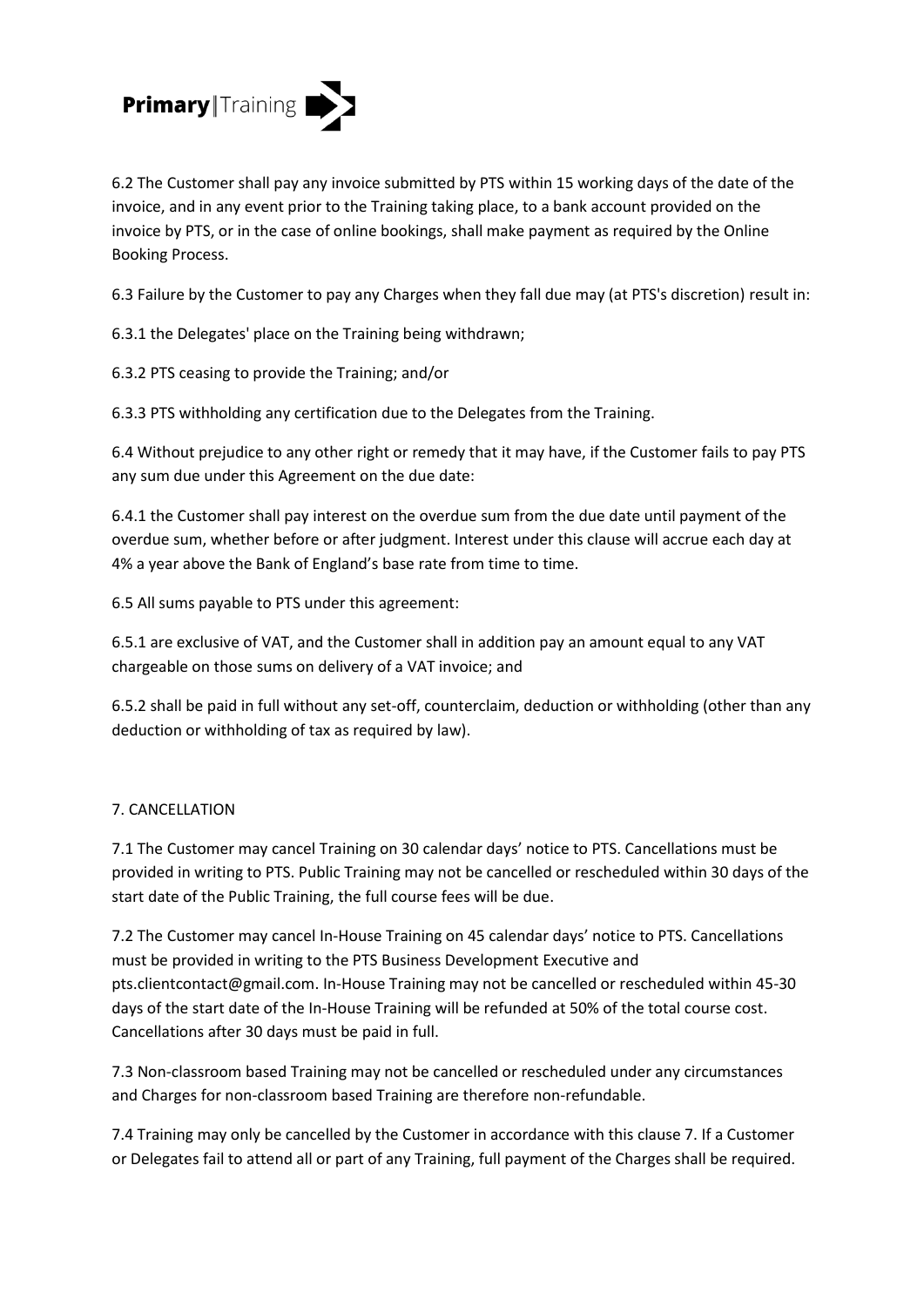

6.2 The Customer shall pay any invoice submitted by PTS within 15 working days of the date of the invoice, and in any event prior to the Training taking place, to a bank account provided on the invoice by PTS, or in the case of online bookings, shall make payment as required by the Online Booking Process.

6.3 Failure by the Customer to pay any Charges when they fall due may (at PTS's discretion) result in:

6.3.1 the Delegates' place on the Training being withdrawn;

6.3.2 PTS ceasing to provide the Training; and/or

6.3.3 PTS withholding any certification due to the Delegates from the Training.

6.4 Without prejudice to any other right or remedy that it may have, if the Customer fails to pay PTS any sum due under this Agreement on the due date:

6.4.1 the Customer shall pay interest on the overdue sum from the due date until payment of the overdue sum, whether before or after judgment. Interest under this clause will accrue each day at 4% a year above the Bank of England's base rate from time to time.

6.5 All sums payable to PTS under this agreement:

6.5.1 are exclusive of VAT, and the Customer shall in addition pay an amount equal to any VAT chargeable on those sums on delivery of a VAT invoice; and

6.5.2 shall be paid in full without any set-off, counterclaim, deduction or withholding (other than any deduction or withholding of tax as required by law).

## 7. CANCELLATION

7.1 The Customer may cancel Training on 30 calendar days' notice to PTS. Cancellations must be provided in writing to PTS. Public Training may not be cancelled or rescheduled within 30 days of the start date of the Public Training, the full course fees will be due.

7.2 The Customer may cancel In-House Training on 45 calendar days' notice to PTS. Cancellations must be provided in writing to the PTS Business Development Executive and pts.clientcontact@gmail.com. In-House Training may not be cancelled or rescheduled within 45-30 days of the start date of the In-House Training will be refunded at 50% of the total course cost. Cancellations after 30 days must be paid in full.

7.3 Non-classroom based Training may not be cancelled or rescheduled under any circumstances and Charges for non-classroom based Training are therefore non-refundable.

7.4 Training may only be cancelled by the Customer in accordance with this clause 7. If a Customer or Delegates fail to attend all or part of any Training, full payment of the Charges shall be required.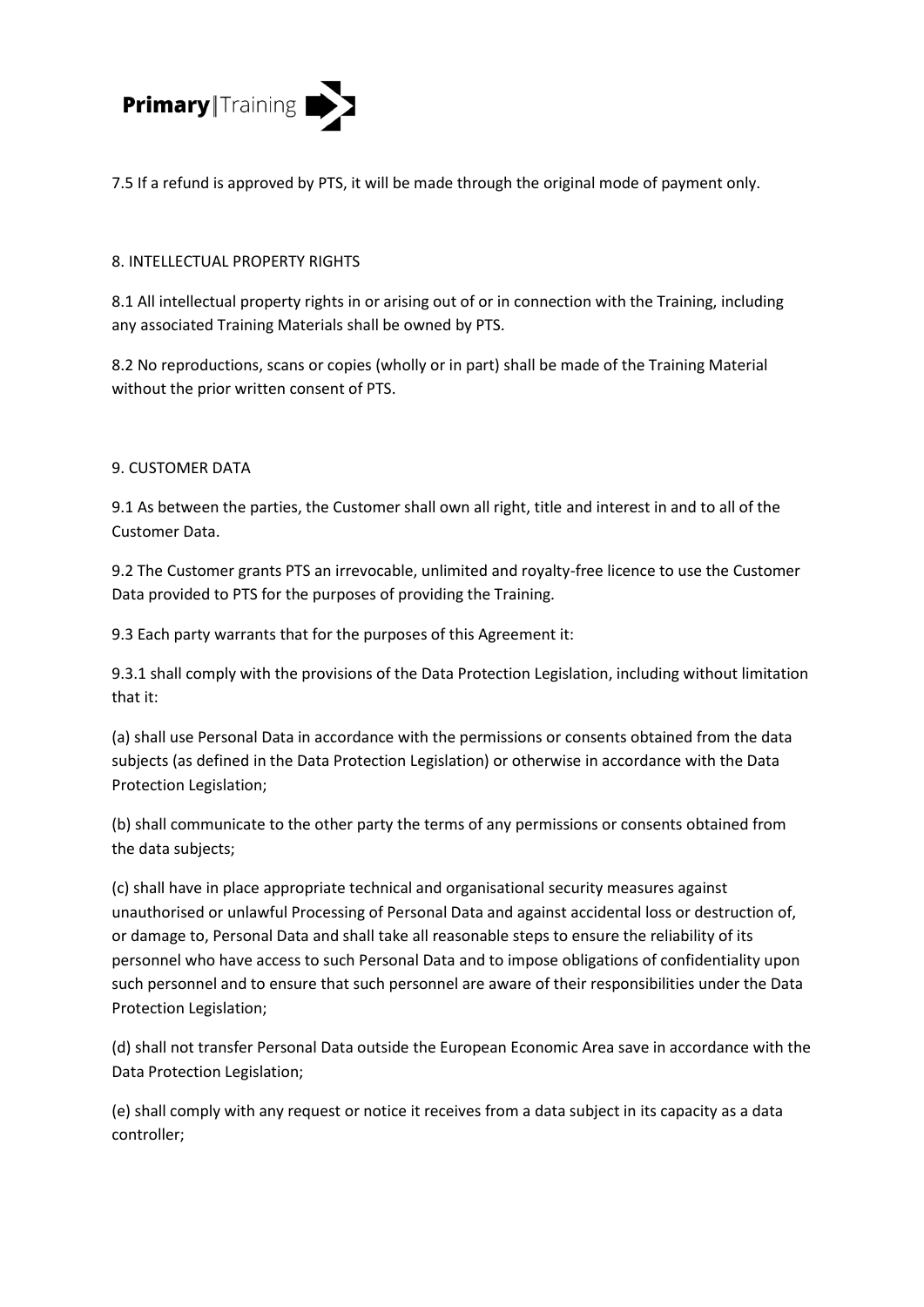

7.5 If a refund is approved by PTS, it will be made through the original mode of payment only.

## 8. INTELLECTUAL PROPERTY RIGHTS

8.1 All intellectual property rights in or arising out of or in connection with the Training, including any associated Training Materials shall be owned by PTS.

8.2 No reproductions, scans or copies (wholly or in part) shall be made of the Training Material without the prior written consent of PTS.

## 9. CUSTOMER DATA

9.1 As between the parties, the Customer shall own all right, title and interest in and to all of the Customer Data.

9.2 The Customer grants PTS an irrevocable, unlimited and royalty-free licence to use the Customer Data provided to PTS for the purposes of providing the Training.

9.3 Each party warrants that for the purposes of this Agreement it:

9.3.1 shall comply with the provisions of the Data Protection Legislation, including without limitation that it:

(a) shall use Personal Data in accordance with the permissions or consents obtained from the data subjects (as defined in the Data Protection Legislation) or otherwise in accordance with the Data Protection Legislation;

(b) shall communicate to the other party the terms of any permissions or consents obtained from the data subjects;

(c) shall have in place appropriate technical and organisational security measures against unauthorised or unlawful Processing of Personal Data and against accidental loss or destruction of, or damage to, Personal Data and shall take all reasonable steps to ensure the reliability of its personnel who have access to such Personal Data and to impose obligations of confidentiality upon such personnel and to ensure that such personnel are aware of their responsibilities under the Data Protection Legislation;

(d) shall not transfer Personal Data outside the European Economic Area save in accordance with the Data Protection Legislation;

(e) shall comply with any request or notice it receives from a data subject in its capacity as a data controller;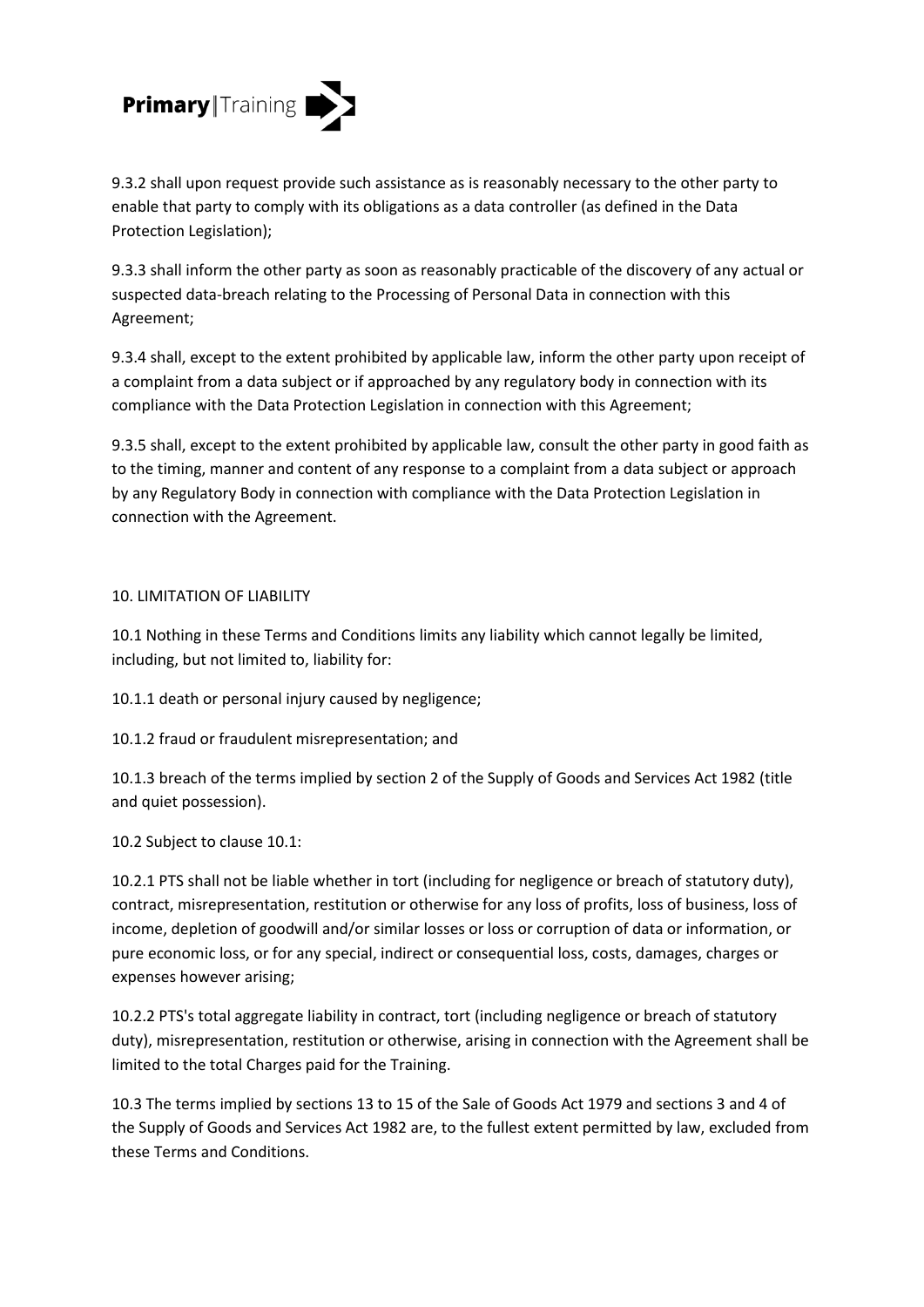

9.3.2 shall upon request provide such assistance as is reasonably necessary to the other party to enable that party to comply with its obligations as a data controller (as defined in the Data Protection Legislation);

9.3.3 shall inform the other party as soon as reasonably practicable of the discovery of any actual or suspected data-breach relating to the Processing of Personal Data in connection with this Agreement;

9.3.4 shall, except to the extent prohibited by applicable law, inform the other party upon receipt of a complaint from a data subject or if approached by any regulatory body in connection with its compliance with the Data Protection Legislation in connection with this Agreement;

9.3.5 shall, except to the extent prohibited by applicable law, consult the other party in good faith as to the timing, manner and content of any response to a complaint from a data subject or approach by any Regulatory Body in connection with compliance with the Data Protection Legislation in connection with the Agreement.

## 10. LIMITATION OF LIABILITY

10.1 Nothing in these Terms and Conditions limits any liability which cannot legally be limited, including, but not limited to, liability for:

10.1.1 death or personal injury caused by negligence;

10.1.2 fraud or fraudulent misrepresentation; and

10.1.3 breach of the terms implied by section 2 of the Supply of Goods and Services Act 1982 (title and quiet possession).

10.2 Subject to clause 10.1:

10.2.1 PTS shall not be liable whether in tort (including for negligence or breach of statutory duty), contract, misrepresentation, restitution or otherwise for any loss of profits, loss of business, loss of income, depletion of goodwill and/or similar losses or loss or corruption of data or information, or pure economic loss, or for any special, indirect or consequential loss, costs, damages, charges or expenses however arising;

10.2.2 PTS's total aggregate liability in contract, tort (including negligence or breach of statutory duty), misrepresentation, restitution or otherwise, arising in connection with the Agreement shall be limited to the total Charges paid for the Training.

10.3 The terms implied by sections 13 to 15 of the Sale of Goods Act 1979 and sections 3 and 4 of the Supply of Goods and Services Act 1982 are, to the fullest extent permitted by law, excluded from these Terms and Conditions.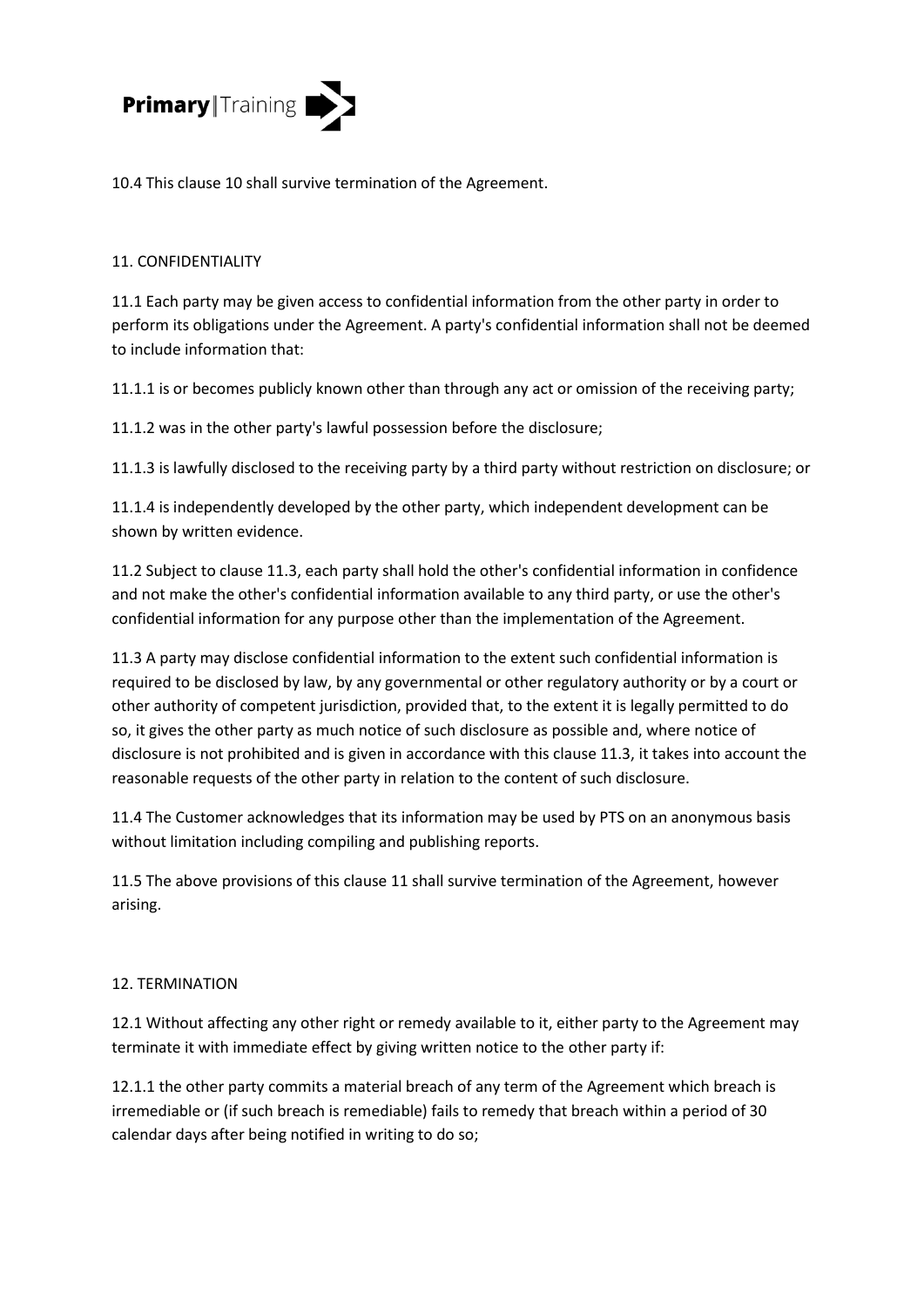

10.4 This clause 10 shall survive termination of the Agreement.

## 11. CONFIDENTIALITY

11.1 Each party may be given access to confidential information from the other party in order to perform its obligations under the Agreement. A party's confidential information shall not be deemed to include information that:

11.1.1 is or becomes publicly known other than through any act or omission of the receiving party;

11.1.2 was in the other party's lawful possession before the disclosure;

11.1.3 is lawfully disclosed to the receiving party by a third party without restriction on disclosure; or

11.1.4 is independently developed by the other party, which independent development can be shown by written evidence.

11.2 Subject to clause 11.3, each party shall hold the other's confidential information in confidence and not make the other's confidential information available to any third party, or use the other's confidential information for any purpose other than the implementation of the Agreement.

11.3 A party may disclose confidential information to the extent such confidential information is required to be disclosed by law, by any governmental or other regulatory authority or by a court or other authority of competent jurisdiction, provided that, to the extent it is legally permitted to do so, it gives the other party as much notice of such disclosure as possible and, where notice of disclosure is not prohibited and is given in accordance with this clause 11.3, it takes into account the reasonable requests of the other party in relation to the content of such disclosure.

11.4 The Customer acknowledges that its information may be used by PTS on an anonymous basis without limitation including compiling and publishing reports.

11.5 The above provisions of this clause 11 shall survive termination of the Agreement, however arising.

## 12. TERMINATION

12.1 Without affecting any other right or remedy available to it, either party to the Agreement may terminate it with immediate effect by giving written notice to the other party if:

12.1.1 the other party commits a material breach of any term of the Agreement which breach is irremediable or (if such breach is remediable) fails to remedy that breach within a period of 30 calendar days after being notified in writing to do so;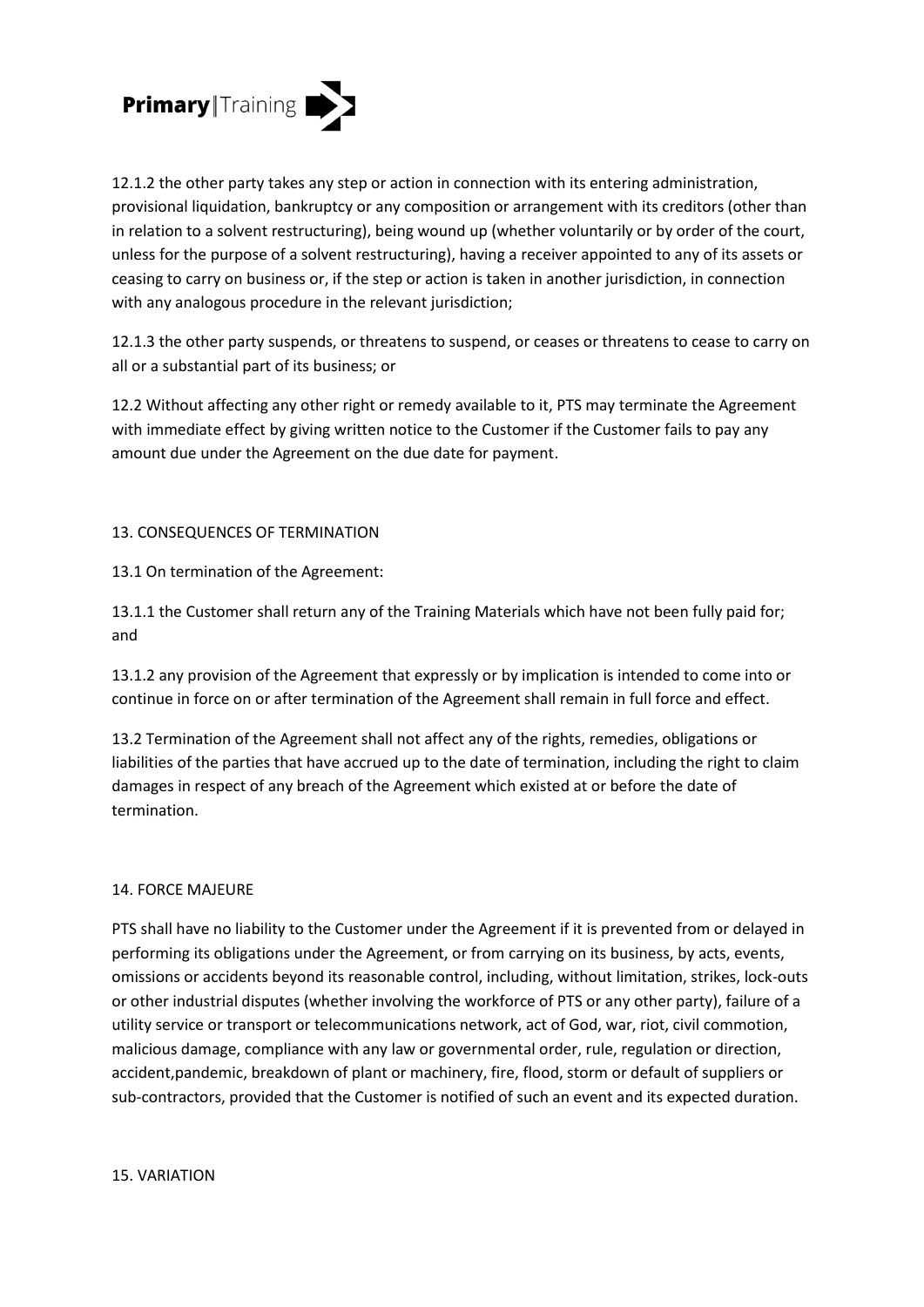

12.1.2 the other party takes any step or action in connection with its entering administration, provisional liquidation, bankruptcy or any composition or arrangement with its creditors (other than in relation to a solvent restructuring), being wound up (whether voluntarily or by order of the court, unless for the purpose of a solvent restructuring), having a receiver appointed to any of its assets or ceasing to carry on business or, if the step or action is taken in another jurisdiction, in connection with any analogous procedure in the relevant jurisdiction;

12.1.3 the other party suspends, or threatens to suspend, or ceases or threatens to cease to carry on all or a substantial part of its business; or

12.2 Without affecting any other right or remedy available to it, PTS may terminate the Agreement with immediate effect by giving written notice to the Customer if the Customer fails to pay any amount due under the Agreement on the due date for payment.

## 13. CONSEQUENCES OF TERMINATION

13.1 On termination of the Agreement:

13.1.1 the Customer shall return any of the Training Materials which have not been fully paid for; and

13.1.2 any provision of the Agreement that expressly or by implication is intended to come into or continue in force on or after termination of the Agreement shall remain in full force and effect.

13.2 Termination of the Agreement shall not affect any of the rights, remedies, obligations or liabilities of the parties that have accrued up to the date of termination, including the right to claim damages in respect of any breach of the Agreement which existed at or before the date of termination.

## 14. FORCE MAJEURE

PTS shall have no liability to the Customer under the Agreement if it is prevented from or delayed in performing its obligations under the Agreement, or from carrying on its business, by acts, events, omissions or accidents beyond its reasonable control, including, without limitation, strikes, lock-outs or other industrial disputes (whether involving the workforce of PTS or any other party), failure of a utility service or transport or telecommunications network, act of God, war, riot, civil commotion, malicious damage, compliance with any law or governmental order, rule, regulation or direction, accident,pandemic, breakdown of plant or machinery, fire, flood, storm or default of suppliers or sub-contractors, provided that the Customer is notified of such an event and its expected duration.

15. VARIATION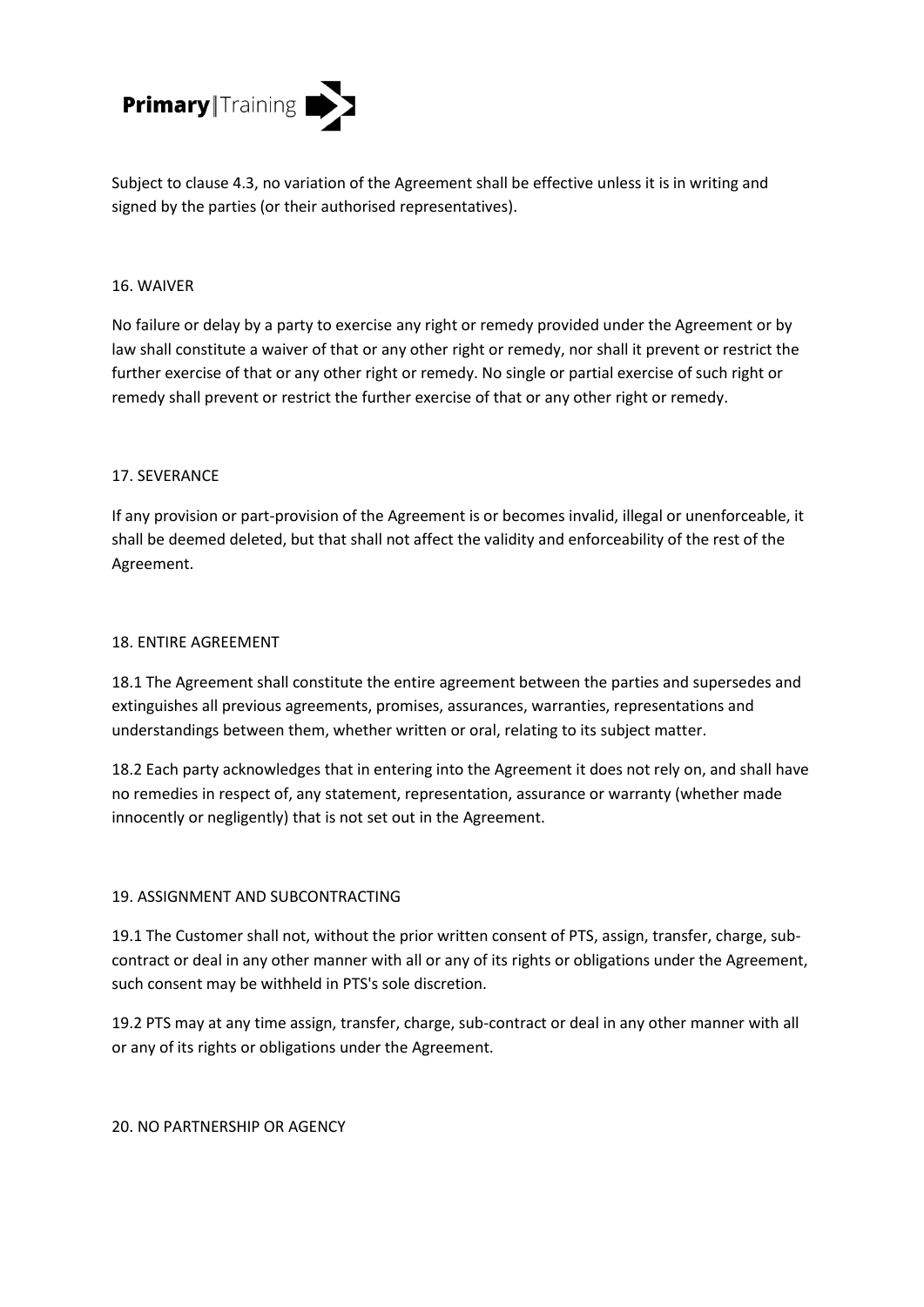

Subject to clause 4.3, no variation of the Agreement shall be effective unless it is in writing and signed by the parties (or their authorised representatives).

## 16. WAIVER

No failure or delay by a party to exercise any right or remedy provided under the Agreement or by law shall constitute a waiver of that or any other right or remedy, nor shall it prevent or restrict the further exercise of that or any other right or remedy. No single or partial exercise of such right or remedy shall prevent or restrict the further exercise of that or any other right or remedy.

#### 17. SEVERANCE

If any provision or part-provision of the Agreement is or becomes invalid, illegal or unenforceable, it shall be deemed deleted, but that shall not affect the validity and enforceability of the rest of the Agreement.

#### 18. ENTIRE AGREEMENT

18.1 The Agreement shall constitute the entire agreement between the parties and supersedes and extinguishes all previous agreements, promises, assurances, warranties, representations and understandings between them, whether written or oral, relating to its subject matter.

18.2 Each party acknowledges that in entering into the Agreement it does not rely on, and shall have no remedies in respect of, any statement, representation, assurance or warranty (whether made innocently or negligently) that is not set out in the Agreement.

## 19. ASSIGNMENT AND SUBCONTRACTING

19.1 The Customer shall not, without the prior written consent of PTS, assign, transfer, charge, subcontract or deal in any other manner with all or any of its rights or obligations under the Agreement, such consent may be withheld in PTS's sole discretion.

19.2 PTS may at any time assign, transfer, charge, sub-contract or deal in any other manner with all or any of its rights or obligations under the Agreement.

## 20. NO PARTNERSHIP OR AGENCY